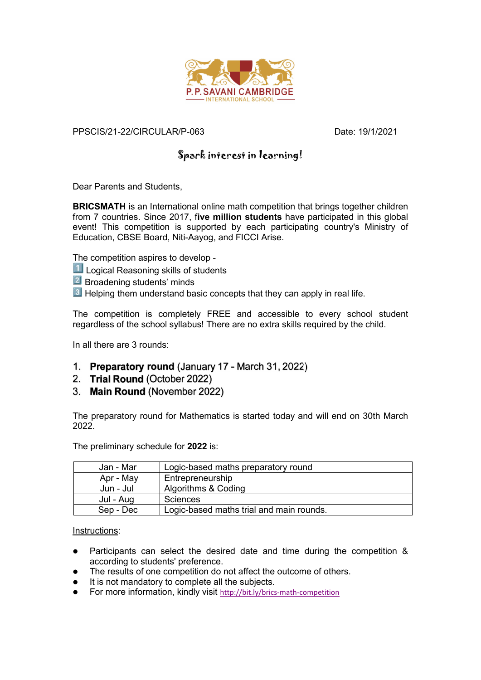

## PPSCIS/21-22/CIRCULAR/P-063 Date: 19/1/2021

## Spark interest in learning!

Dear Parents and Students,

**BRICSMATH** is an International online math competition that brings together children from 7 countries. Since 2017, f**ive million students** have participated in this global event! This competition is supported by each participating country's Ministry of Education, CBSE Board, Niti-Aayog, and FICCI Arise.

The competition aspires to develop -

- **L** Logical Reasoning skills of students
- **2** Broadening students' minds
- **B** Helping them understand basic concepts that they can apply in real life.

The competition is completely FREE and accessible to every school student regardless of the school syllabus! There are no extra skills required by the child.

In all there are 3 rounds:

- 1. Preparatory round (January 17 March 31, 2022)
- 2. Trial Round (October 2022)
- 3. Main Round (November 2022)

The preparatory round for Mathematics is started today and will end on 30th March 2022.

The preliminary schedule for **2022** is:

| Jan - Mar | Logic-based maths preparatory round      |
|-----------|------------------------------------------|
| Apr - May | Entrepreneurship                         |
| Jun - Jul | Algorithms & Coding                      |
| Jul - Aug | Sciences                                 |
| Sep - Dec | Logic-based maths trial and main rounds. |

Instructions:

- Participants can select the desired date and time during the competition & according to students' preference.
- The results of one competition do not affect the outcome of others.
- It is not mandatory to complete all the subjects.
- For more information, kindly visit <http://bit.ly/brics-math-competition>